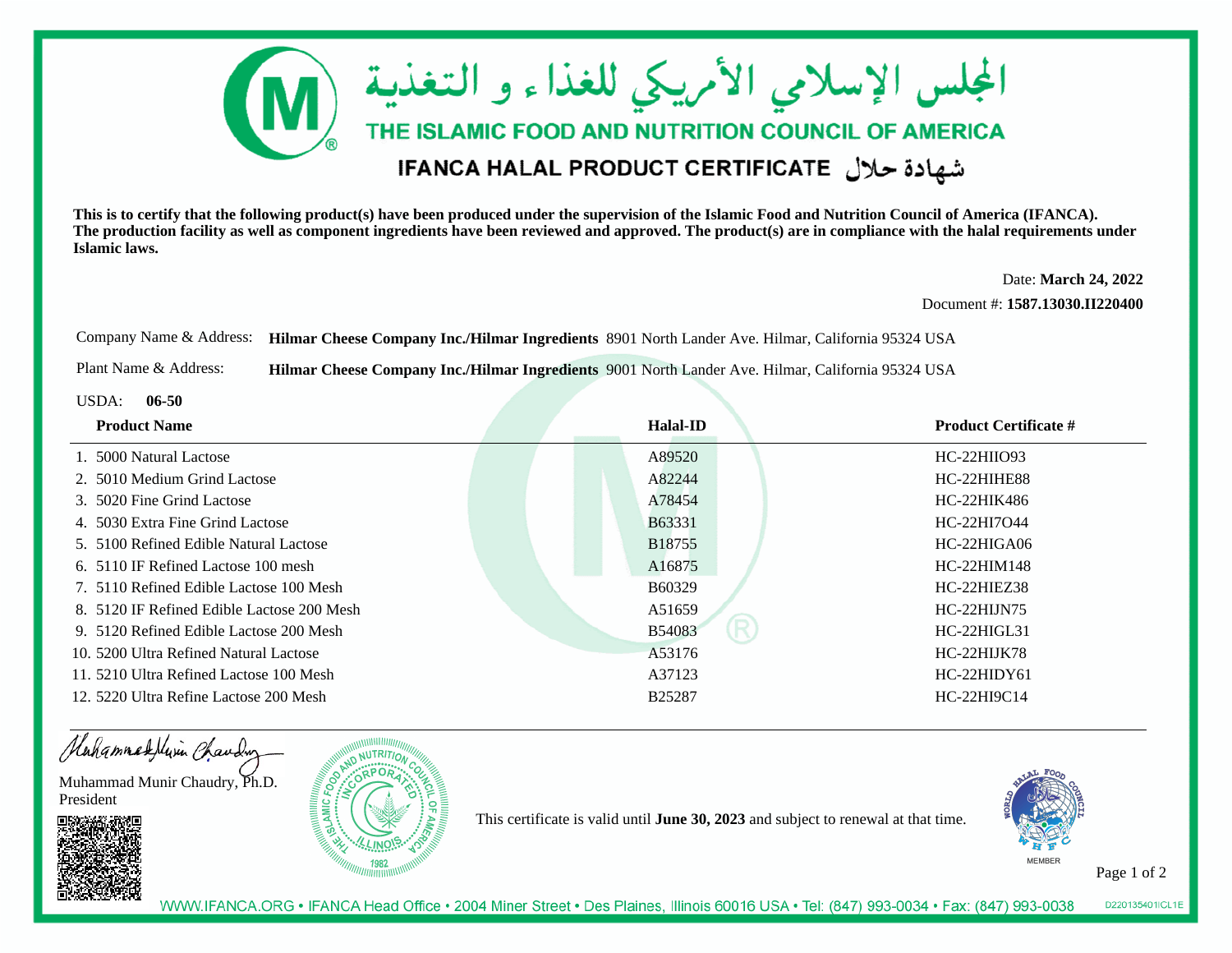

**This is to certify that the following product(s) have been produced under the supervision of the Islamic Food and Nutrition Council of America (IFANCA). The production facility as well as component ingredients have been reviewed and approved. The product(s) are in compliance with the halal requirements underIslamic laws.**

> Date: **March 24, 2022**Document #: **1587.13030.II220400**

Company Name & Address: **Hilmar Cheese Company Inc./Hilmar Ingredients** 8901 North Lander Ave. Hilmar, California 95324 USA

Plant Name & Address:**Hilmar Cheese Company Inc./Hilmar Ingredients** 9001 North Lander Ave. Hilmar, California 95324 USA

USDA: **06-50**

| <b>Product Name</b>                        | <b>Halal-ID</b>    | <b>Product Certificate #</b> |
|--------------------------------------------|--------------------|------------------------------|
| 1. 5000 Natural Lactose                    | A89520             | $HC-22HHIO93$                |
| 2. 5010 Medium Grind Lactose               | A82244             | HC-22HIHE88                  |
| 3. 5020 Fine Grind Lactose                 | A78454             | HC-22HIK486                  |
| 4. 5030 Extra Fine Grind Lactose           | B63331             | HC-22HI7O44                  |
| 5. 5100 Refined Edible Natural Lactose     | B18755             | $HC-22HIGAO6$                |
| 6. 5110 IF Refined Lactose 100 mesh        | A16875             | HC-22HIM148                  |
| 7. 5110 Refined Edible Lactose 100 Mesh    | B <sub>60329</sub> | <b>HC-22HIEZ38</b>           |
| 8. 5120 IF Refined Edible Lactose 200 Mesh | A51659             | $HC-22HIJN75$                |
| 9. 5120 Refined Edible Lactose 200 Mesh    | <b>B54083</b>      | $HC-22HIGL31$                |
| 10. 5200 Ultra Refined Natural Lactose     | A53176             | HC-22HIJK78                  |
| 11. 5210 Ultra Refined Lactose 100 Mesh    | A37123             | $HC-22HIDY61$                |
| 12. 5220 Ultra Refine Lactose 200 Mesh     | <b>B25287</b>      | $HC-22HI9C14$                |



This certificate is valid until **June 30, 2023** and subject to renewal at that time.



Page 1 of 2